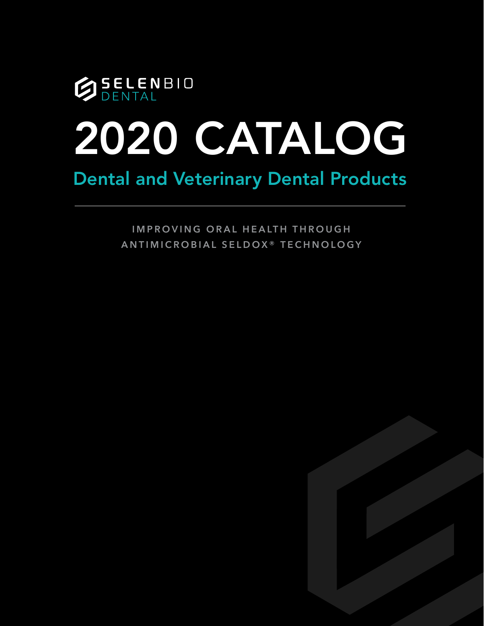

# Dental and Veterinary Dental Products

**IMPROVING ORAL HEALTH THROUGH ANTIMICROBIAL SELDO X® TECHNOLOGY**

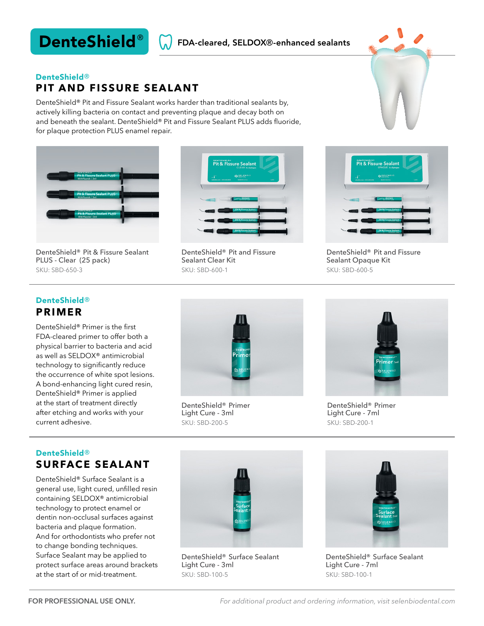# DenteShield®

#### FDA-cleared, SELDOX®-enhanced sealants

#### **PIT AND FISSURE SEALANT** DenteShield®

DenteShield® Pit and Fissure Sealant works harder than traditional sealants by, actively killing bacteria on contact and preventing plaque and decay both on and beneath the sealant. DenteShield® Pit and Fissure Sealant PLUS adds fluoride, for plaque protection PLUS enamel repair.





DenteShield® Pit & Fissure Sealant PLUS - Clear (25 pack) SKU: SBD-650-3

DenteShield® Pit and Fissure Sealant Clear Kit SKU: SBD-600-1



DenteShield® Pit and Fissure Sealant Opaque Kit SKU: SBD-600-5

#### **PRIMER** DenteShield®

DenteShield® Primer is the first FDA-cleared primer to offer both a physical barrier to bacteria and acid as well as SELDOX® antimicrobial technology to significantly reduce the occurrence of white spot lesions. A bond-enhancing light cured resin, DenteShield® Primer is applied at the start of treatment directly after etching and works with your current adhesive.



DenteShield® Primer Light Cure - 3ml SKU: SBD-200-5



DenteShield® Primer Light Cure - 7ml SKU: SBD-200-1

### **SURFACE SEALANT** DenteShield®

DenteShield® Surface Sealant is a general use, light cured, unfilled resin containing SELDOX® antimicrobial technology to protect enamel or dentin non-occlusal surfaces against bacteria and plaque formation. And for orthodontists who prefer not to change bonding techniques. Surface Sealant may be applied to protect surface areas around brackets at the start of or mid-treatment.



DenteShield® Surface Sealant Light Cure - 3ml SKU: SBD-100-5



DenteShield® Surface Sealant Light Cure - 7ml SKU: SBD-100-1

*For additional product and ordering information, visit selenbiodental.com*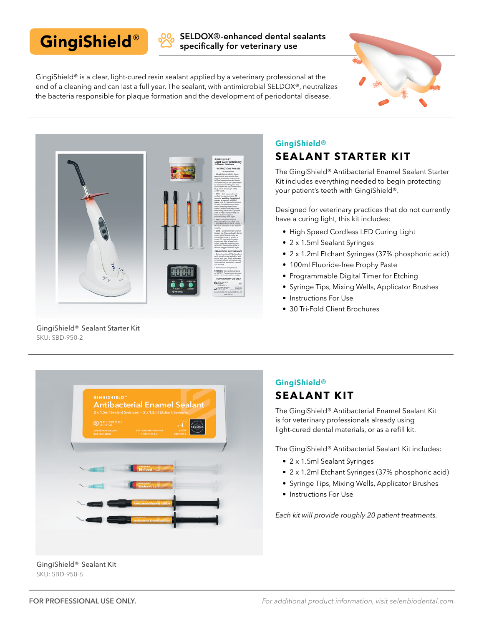# GingiShield®

SELDOX®-enhanced dental sealants specifically for veterinary use

GingiShield® is a clear, light-cured resin sealant applied by a veterinary professional at the end of a cleaning and can last a full year. The sealant, with antimicrobial SELDOX®, neutralizes the bacteria responsible for plaque formation and the development of periodontal disease.





GingiShield® Sealant Starter Kit SKU: SBD-950-2

## GingiShield®

### **SEALANT STARTER KIT**

The GingiShield® Antibacterial Enamel Sealant Starter Kit includes everything needed to begin protecting your patient's teeth with GingiShield®.

Designed for veterinary practices that do not currently have a curing light, this kit includes:

- High Speed Cordless LED Curing Light
- 2 x 1.5ml Sealant Syringes
- 2 x 1.2ml Etchant Syringes (37% phosphoric acid)
- 100ml Fluoride-free Prophy Paste
- Programmable Digital Timer for Etching
- Syringe Tips, Mixing Wells, Applicator Brushes
- Instructions For Use
- 30 Tri-Fold Client Brochures



### GingiShield® **SEALANT KIT**

The GingiShield® Antibacterial Enamel Sealant Kit is for veterinary professionals already using light-cured dental materials, or as a refill kit.

The GingiShield® Antibacterial Sealant Kit includes:

- 2 x 1.5ml Sealant Syringes
- 2 x 1.2ml Etchant Syringes (37% phosphoric acid)
- Syringe Tips, Mixing Wells, Applicator Brushes
- Instructions For Use

*Each kit will provide roughly 20 patient treatments.*

GingiShield® Sealant Kit SKU: SBD-950-6